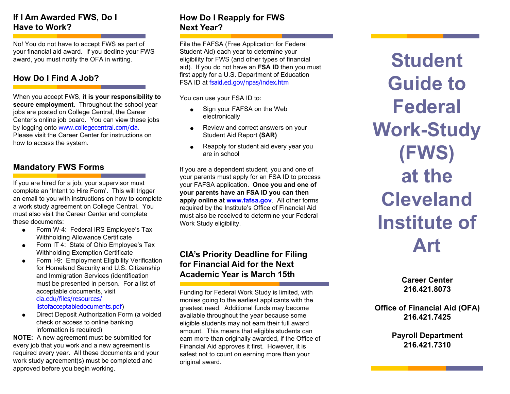### **If I Am Awarded FWS, Do I Have to Work?**

No! You do not have to accept FWS as part of your financial aid award. If you decline your FWS award, you must notify the OFA in writing.

#### **How Do I Find A Job?**

When you accept FWS, **it is your responsibility to secure employment**. Throughout the school year jobs are posted on College Central, the Career Center's online job board. You can view these jobs by logging onto www.collegecentral.com/cia. Please visit the Career Center for instructions on how to access the system.

#### **Mandatory FWS Forms**

If you are hired for a job, your supervisor must complete an 'Intent to Hire Form'. This will trigger an email to you with instructions on how to complete a work study agreement on College Central. You must also visit the Career Center and complete these documents:

- Form W-4: Federal IRS Employee's Tax Withholding Allowance Certificate
- Form IT 4: State of Ohio Employee's Tax Withholding Exemption Certificate
- **•** Form I-9: Employment Eligibility Verification for Homeland Security and U.S. Citizenship and Immigration Services (identification must be presented in person. For a list of acceptable documents, visit cia.edu/files/resources/

listofacceptabledocuments.pdf)

 Direct Deposit Authorization Form (a voided check or access to online banking information is required)

**NOTE:** A new agreement must be submitted for every job that you work and a new agreement is required every year. All these documents and your work study agreement(s) must be completed and approved before you begin working.

## **How Do I Reapply for FWS Next Year?**

File the FAFSA (Free Application for Federal Student Aid) each year to determine your eligibility for FWS (and other types of financial aid). If you do not have an **FSA ID** then you must first apply for a U.S. Department of Education FSA ID at fsaid.ed.gov/npas/index.htm

You can use your FSA ID to:

- Sign your FAFSA on the Web electronically
- Review and correct answers on your Student Aid Report **(SAR)**
- Reapply for student aid every year you are in school

If you are a dependent student, you and one of your parents must apply for an FSA ID to process your FAFSA application. **Once you and one of your parents have an FSA ID you can then apply online at www.fafsa.gov**. All other forms required by the Institute's Office of Financial Aid must also be received to determine your Federal Work Study eligibility.

### **CIA's Priority Deadline for Filing for Financial Aid for the Next Academic Year is March 15th**

Funding for Federal Work Study is limited, with monies going to the earliest applicants with the greatest need. Additional funds may become available throughout the year because some eligible students may not earn their full award amount. This means that eligible students can earn more than originally awarded, if the Office of Financial Aid approves it first. However, it is safest not to count on earning more than your original award.

**Student Guide to Federal Work-Study (FWS) at the Cleveland Institute of Art**

> **Career Center 216.421.8073**

**Office of Financial Aid (OFA) 216.421.7425**

> **Payroll Department 216.421.7310**